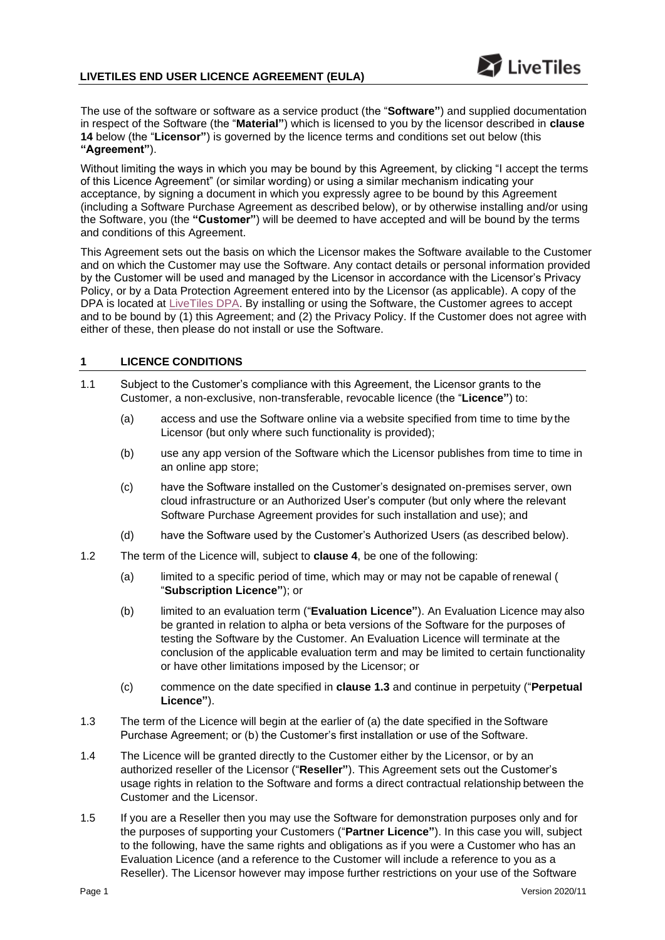The use of the software or software as a service product (the "**Software"**) and supplied documentation in respect of the Software (the "**Material"**) which is licensed to you by the licensor described in **clause 14** below (the "**Licensor"**) is governed by the licence terms and conditions set out below (this **"Agreement"**).

Without limiting the ways in which you may be bound by this Agreement, by clicking "I accept the terms of this Licence Agreement" (or similar wording) or using a similar mechanism indicating your acceptance, by signing a document in which you expressly agree to be bound by this Agreement (including a Software Purchase Agreement as described below), or by otherwise installing and/or using the Software, you (the **"Customer"**) will be deemed to have accepted and will be bound by the terms and conditions of this Agreement.

This Agreement sets out the basis on which the Licensor makes the Software available to the Customer and on which the Customer may use the Software. Any contact details or personal information provided by the Customer will be used and managed by the Licensor in accordance with the Licensor's Privacy Policy, or by a Data Protection Agreement entered into by the Licensor (as applicable). A copy of the DPA is located at [LiveTiles DPA.](https://livetilesglobal.com/data-processing-agreement/) By installing or using the Software, the Customer agrees to accept and to be bound by (1) this Agreement; and (2) the Privacy Policy. If the Customer does not agree with either of these, then please do not install or use the Software.

# **1 LICENCE CONDITIONS**

- <span id="page-0-2"></span><span id="page-0-1"></span><span id="page-0-0"></span>1.1 Subject to the Customer's compliance with this Agreement, the Licensor grants to the Customer, a non-exclusive, non-transferable, revocable licence (the "**Licence"**) to:
	- (a) access and use the Software online via a website specified from time to time by the Licensor (but only where such functionality is provided);
	- (b) use any app version of the Software which the Licensor publishes from time to time in an online app store;
	- (c) have the Software installed on the Customer's designated on-premises server, own cloud infrastructure or an Authorized User's computer (but only where the relevant Software Purchase Agreement provides for such installation and use); and
	- (d) have the Software used by the Customer's Authorized Users (as described below).
- <span id="page-0-3"></span>1.2 The term of the Licence will, subject to **clause 4**[, b](#page-3-0)e one of the following:
	- (a) limited to a specific period of time, which may or may not be capable of renewal ( "**Subscription Licence"**); or
	- (b) limited to an evaluation term ("**Evaluation Licence"**). An Evaluation Licence may also be granted in relation to alpha or beta versions of the Software for the purposes of testing the Software by the Customer. An Evaluation Licence will terminate at the conclusion of the applicable evaluation term and may be limited to certain functionality or have other limitations imposed by the Licensor; or
	- (c) commence on the date specified in **clause 1.3** and continue in perpetuity ("**Perpetual Licence"**).
- 1.3 The term of the Licence will begin at the earlier of (a) the date specified in the Software Purchase Agreement; or (b) the Customer's first installation or use of the Software.
- 1.4 The Licence will be granted directly to the Customer either by the Licensor, or by an authorized reseller of the Licensor ("**Reseller"**). This Agreement sets out the Customer's usage rights in relation to the Software and forms a direct contractual relationship between the Customer and the Licensor.
- 1.5 If you are a Reseller then you may use the Software for demonstration purposes only and for the purposes of supporting your Customers ("**Partner Licence"**). In this case you will, subject to the following, have the same rights and obligations as if you were a Customer who has an Evaluation Licence (and a reference to the Customer will include a reference to you as a Reseller). The Licensor however may impose further restrictions on your use of the Software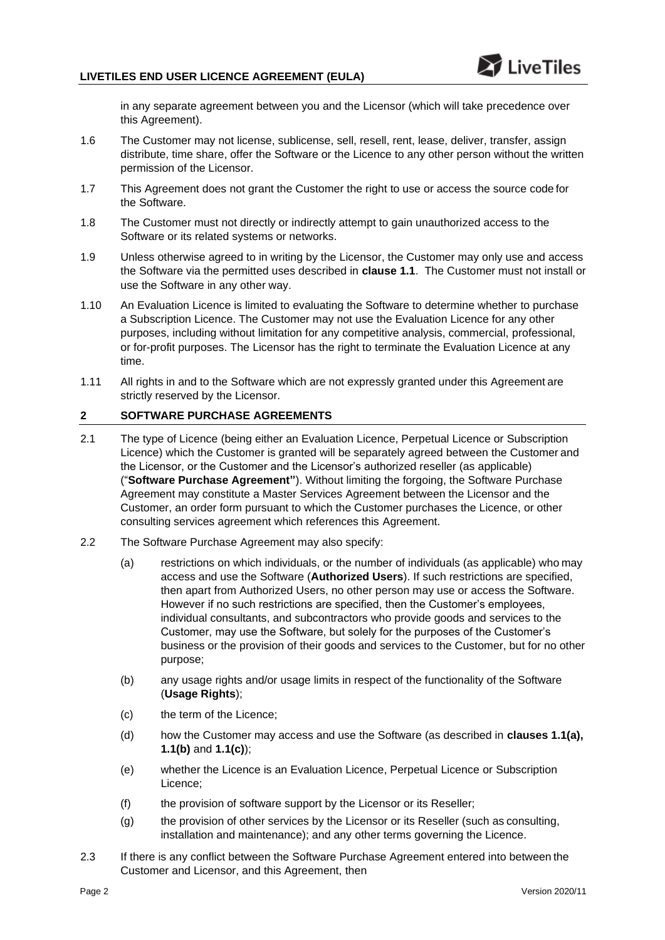in any separate agreement between you and the Licensor (which will take precedence over this Agreement).

- 1.6 The Customer may not license, sublicense, sell, resell, rent, lease, deliver, transfer, assign distribute, time share, offer the Software or the Licence to any other person without the written permission of the Licensor.
- 1.7 This Agreement does not grant the Customer the right to use or access the source code for the Software.
- 1.8 The Customer must not directly or indirectly attempt to gain unauthorized access to the Software or its related systems or networks.
- 1.9 Unless otherwise agreed to in writing by the Licensor, the Customer may only use and access the Software via the permitted uses described in **clause [1.1](#page-0-0)**. The Customer must not install or use the Software in any other way.
- 1.10 An Evaluation Licence is limited to evaluating the Software to determine whether to purchase a Subscription Licence. The Customer may not use the Evaluation Licence for any other purposes, including without limitation for any competitive analysis, commercial, professional, or for-profit purposes. The Licensor has the right to terminate the Evaluation Licence at any time.
- 1.11 All rights in and to the Software which are not expressly granted under this Agreement are strictly reserved by the Licensor.

### **2 SOFTWARE PURCHASE AGREEMENTS**

- 2.1 The type of Licence (being either an Evaluation Licence, Perpetual Licence or Subscription Licence) which the Customer is granted will be separately agreed between the Customer and the Licensor, or the Customer and the Licensor's authorized reseller (as applicable) ("**Software Purchase Agreement"**). Without limiting the forgoing, the Software Purchase Agreement may constitute a Master Services Agreement between the Licensor and the Customer, an order form pursuant to which the Customer purchases the Licence, or other consulting services agreement which references this Agreement.
- 2.2 The Software Purchase Agreement may also specify:
	- (a) restrictions on which individuals, or the number of individuals (as applicable) who may access and use the Software (**Authorized Users**). If such restrictions are specified, then apart from Authorized Users, no other person may use or access the Software. However if no such restrictions are specified, then the Customer's employees, individual consultants, and subcontractors who provide goods and services to the Customer, may use the Software, but solely for the purposes of the Customer's business or the provision of their goods and services to the Customer, but for no other purpose;
	- (b) any usage rights and/or usage limits in respect of the functionality of the Software (**Usage Rights**);
	- (c) the term of the Licence;
	- (d) how the Customer may access and use the Software (as described in **clauses [1.1\(a\),](#page-0-1) [1.1\(b\)](#page-0-2)** and **[1.1\(c\)](#page-0-3)**);
	- (e) whether the Licence is an Evaluation Licence, Perpetual Licence or Subscription Licence;
	- (f) the provision of software support by the Licensor or its Reseller;
	- (g) the provision of other services by the Licensor or its Reseller (such as consulting, installation and maintenance); and any other terms governing the Licence.
- 2.3 If there is any conflict between the Software Purchase Agreement entered into between the Customer and Licensor, and this Agreement, then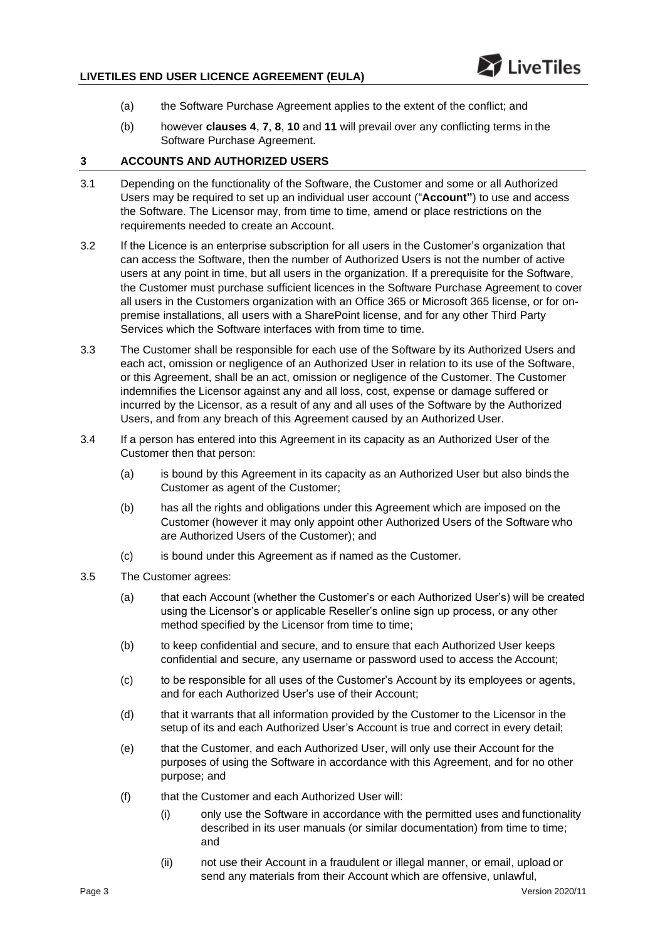- (a) the Software Purchase Agreement applies to the extent of the conflict; and
- (b) however **clauses [4](#page-3-0)**, **[7](#page-5-0)**, **[8](#page-5-1)**, **[10](#page-6-0)** and **[11](#page-6-1)** will prevail over any conflicting terms in the Software Purchase Agreement.

### **3 ACCOUNTS AND AUTHORIZED USERS**

- 3.1 Depending on the functionality of the Software, the Customer and some or all Authorized Users may be required to set up an individual user account ("**Account"**) to use and access the Software. The Licensor may, from time to time, amend or place restrictions on the requirements needed to create an Account.
- 3.2 If the Licence is an enterprise subscription for all users in the Customer's organization that can access the Software, then the number of Authorized Users is not the number of active users at any point in time, but all users in the organization. If a prerequisite for the Software, the Customer must purchase sufficient licences in the Software Purchase Agreement to cover all users in the Customers organization with an Office 365 or Microsoft 365 license, or for onpremise installations, all users with a SharePoint license, and for any other Third Party Services which the Software interfaces with from time to time.
- 3.3 The Customer shall be responsible for each use of the Software by its Authorized Users and each act, omission or negligence of an Authorized User in relation to its use of the Software, or this Agreement, shall be an act, omission or negligence of the Customer. The Customer indemnifies the Licensor against any and all loss, cost, expense or damage suffered or incurred by the Licensor, as a result of any and all uses of the Software by the Authorized Users, and from any breach of this Agreement caused by an Authorized User.
- 3.4 If a person has entered into this Agreement in its capacity as an Authorized User of the Customer then that person:
	- (a) is bound by this Agreement in its capacity as an Authorized User but also binds the Customer as agent of the Customer;
	- (b) has all the rights and obligations under this Agreement which are imposed on the Customer (however it may only appoint other Authorized Users of the Software who are Authorized Users of the Customer); and
	- (c) is bound under this Agreement as if named as the Customer.
- 3.5 The Customer agrees:
	- (a) that each Account (whether the Customer's or each Authorized User's) will be created using the Licensor's or applicable Reseller's online sign up process, or any other method specified by the Licensor from time to time;
	- (b) to keep confidential and secure, and to ensure that each Authorized User keeps confidential and secure, any username or password used to access the Account;
	- (c) to be responsible for all uses of the Customer's Account by its employees or agents, and for each Authorized User's use of their Account;
	- (d) that it warrants that all information provided by the Customer to the Licensor in the setup of its and each Authorized User's Account is true and correct in every detail;
	- (e) that the Customer, and each Authorized User, will only use their Account for the purposes of using the Software in accordance with this Agreement, and for no other purpose; and
	- (f) that the Customer and each Authorized User will:
		- (i) only use the Software in accordance with the permitted uses and functionality described in its user manuals (or similar documentation) from time to time; and
		- (ii) not use their Account in a fraudulent or illegal manner, or email, upload or send any materials from their Account which are offensive, unlawful,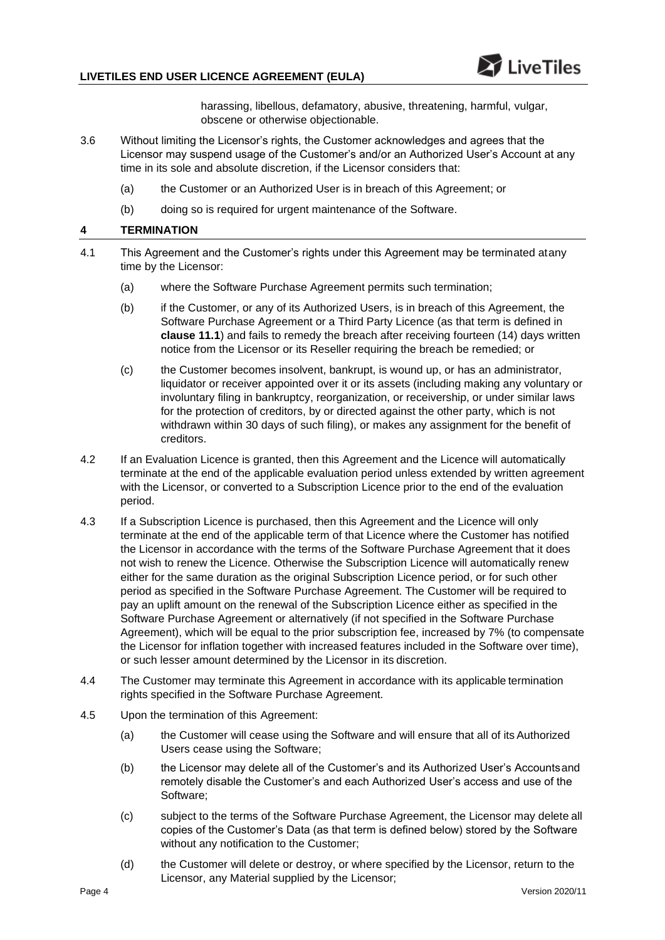# **LIVETILES END USER LICENCE AGREEMENT (EULA)**

harassing, libellous, defamatory, abusive, threatening, harmful, vulgar, obscene or otherwise objectionable.

- 3.6 Without limiting the Licensor's rights, the Customer acknowledges and agrees that the Licensor may suspend usage of the Customer's and/or an Authorized User's Account at any time in its sole and absolute discretion, if the Licensor considers that:
	- (a) the Customer or an Authorized User is in breach of this Agreement; or
	- (b) doing so is required for urgent maintenance of the Software.

## <span id="page-3-0"></span>**4 TERMINATION**

- 4.1 This Agreement and the Customer's rights under this Agreement may be terminated atany time by the Licensor:
	- (a) where the Software Purchase Agreement permits such termination;
	- (b) if the Customer, or any of its Authorized Users, is in breach of this Agreement, the Software Purchase Agreement or a Third Party Licence (as that term is defined in **clause [11.1](#page-6-2)**) and fails to remedy the breach after receiving fourteen (14) days written notice from the Licensor or its Reseller requiring the breach be remedied; or
	- (c) the Customer becomes insolvent, bankrupt, is wound up, or has an administrator, liquidator or receiver appointed over it or its assets (including making any voluntary or involuntary filing in bankruptcy, reorganization, or receivership, or under similar laws for the protection of creditors, by or directed against the other party, which is not withdrawn within 30 days of such filing), or makes any assignment for the benefit of creditors.
- 4.2 If an Evaluation Licence is granted, then this Agreement and the Licence will automatically terminate at the end of the applicable evaluation period unless extended by written agreement with the Licensor, or converted to a Subscription Licence prior to the end of the evaluation period.
- 4.3 If a Subscription Licence is purchased, then this Agreement and the Licence will only terminate at the end of the applicable term of that Licence where the Customer has notified the Licensor in accordance with the terms of the Software Purchase Agreement that it does not wish to renew the Licence. Otherwise the Subscription Licence will automatically renew either for the same duration as the original Subscription Licence period, or for such other period as specified in the Software Purchase Agreement. The Customer will be required to pay an uplift amount on the renewal of the Subscription Licence either as specified in the Software Purchase Agreement or alternatively (if not specified in the Software Purchase Agreement), which will be equal to the prior subscription fee, increased by 7% (to compensate the Licensor for inflation together with increased features included in the Software over time), or such lesser amount determined by the Licensor in its discretion.
- 4.4 The Customer may terminate this Agreement in accordance with its applicable termination rights specified in the Software Purchase Agreement.
- 4.5 Upon the termination of this Agreement:
	- (a) the Customer will cease using the Software and will ensure that all of its Authorized Users cease using the Software;
	- (b) the Licensor may delete all of the Customer's and its Authorized User's Accountsand remotely disable the Customer's and each Authorized User's access and use of the Software;
	- (c) subject to the terms of the Software Purchase Agreement, the Licensor may delete all copies of the Customer's Data (as that term is defined below) stored by the Software without any notification to the Customer;
	- (d) the Customer will delete or destroy, or where specified by the Licensor, return to the Licensor, any Material supplied by the Licensor;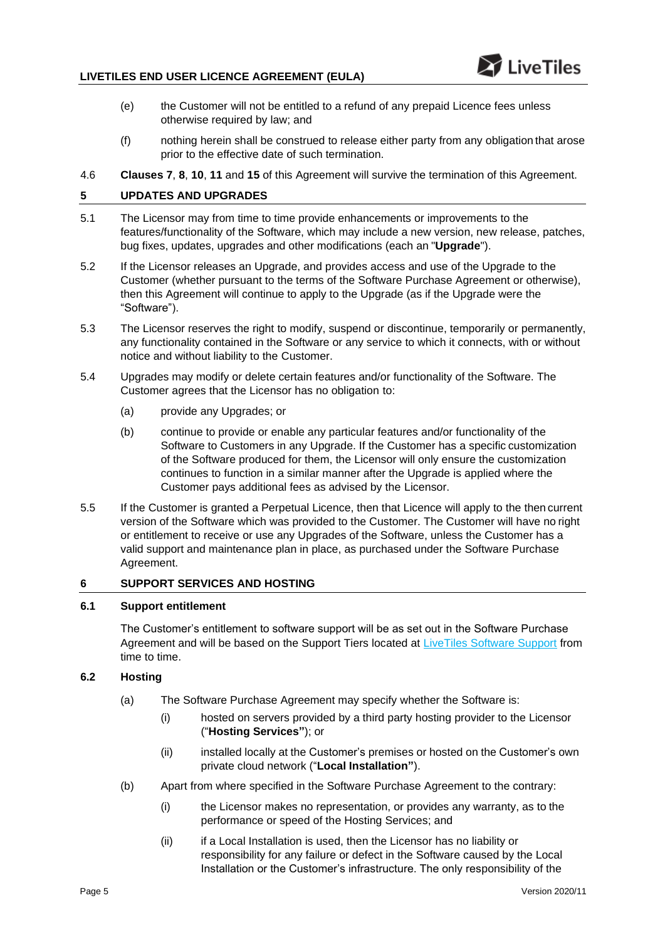# **LIVETILES END USER LICENCE AGREEMENT (EULA)**

- (e) the Customer will not be entitled to a refund of any prepaid Licence fees unless otherwise required by law; and
- (f) nothing herein shall be construed to release either party from any obligation that arose prior to the effective date of such termination.
- 4.6 **Clauses [7](#page-5-0)**, **[8](#page-5-1)**, **[10](#page-6-0)**, **[11](#page-6-1)** and **[15](#page-8-0)** of this Agreement will survive the termination of this Agreement.

# **5 UPDATES AND UPGRADES**

- 5.1 The Licensor may from time to time provide enhancements or improvements to the features/functionality of the Software, which may include a new version, new release, patches, bug fixes, updates, upgrades and other modifications (each an "**Upgrade**").
- 5.2 If the Licensor releases an Upgrade, and provides access and use of the Upgrade to the Customer (whether pursuant to the terms of the Software Purchase Agreement or otherwise), then this Agreement will continue to apply to the Upgrade (as if the Upgrade were the "Software").
- 5.3 The Licensor reserves the right to modify, suspend or discontinue, temporarily or permanently, any functionality contained in the Software or any service to which it connects, with or without notice and without liability to the Customer.
- 5.4 Upgrades may modify or delete certain features and/or functionality of the Software. The Customer agrees that the Licensor has no obligation to:
	- (a) provide any Upgrades; or
	- (b) continue to provide or enable any particular features and/or functionality of the Software to Customers in any Upgrade. If the Customer has a specific customization of the Software produced for them, the Licensor will only ensure the customization continues to function in a similar manner after the Upgrade is applied where the Customer pays additional fees as advised by the Licensor.
- 5.5 If the Customer is granted a Perpetual Licence, then that Licence will apply to the then current version of the Software which was provided to the Customer. The Customer will have no right or entitlement to receive or use any Upgrades of the Software, unless the Customer has a valid support and maintenance plan in place, as purchased under the Software Purchase Agreement.

# **6 SUPPORT SERVICES AND HOSTING**

# **6.1 Support entitlement**

The Customer's entitlement to software support will be as set out in the Software Purchase Agreement and will be based on the Support Tiers located at [LiveTiles Software Support](https://livetilesglobal.com/livetiles-software-support-terms/) from time to time.

# **6.2 Hosting**

- (a) The Software Purchase Agreement may specify whether the Software is:
	- (i) hosted on servers provided by a third party hosting provider to the Licensor ("**Hosting Services"**); or
	- (ii) installed locally at the Customer's premises or hosted on the Customer's own private cloud network ("**Local Installation"**).
- (b) Apart from where specified in the Software Purchase Agreement to the contrary:
	- (i) the Licensor makes no representation, or provides any warranty, as to the performance or speed of the Hosting Services; and
	- (ii) if a Local Installation is used, then the Licensor has no liability or responsibility for any failure or defect in the Software caused by the Local Installation or the Customer's infrastructure. The only responsibility of the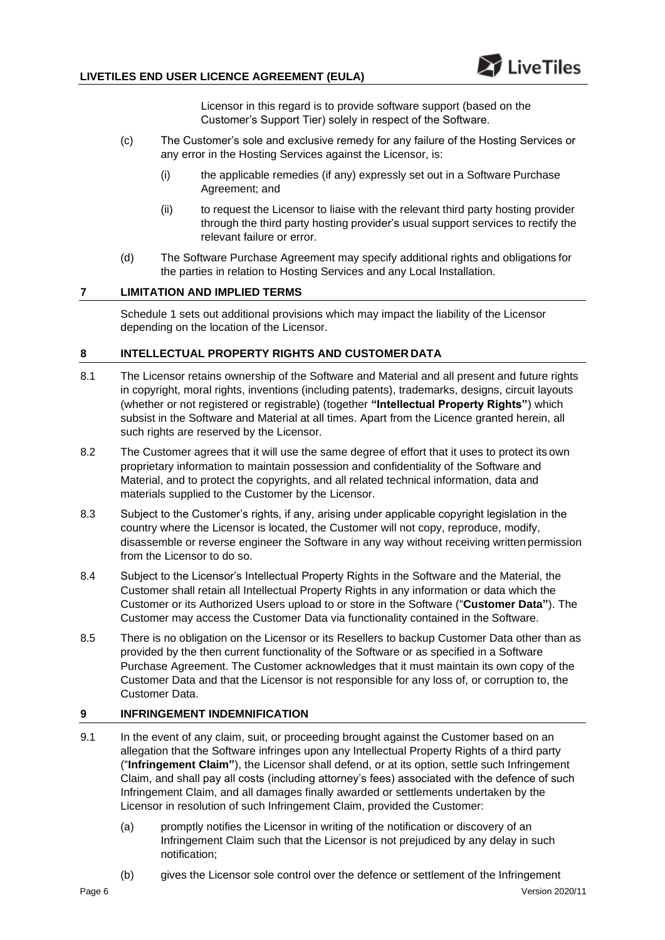Licensor in this regard is to provide software support (based on the Customer's Support Tier) solely in respect of the Software.

- (c) The Customer's sole and exclusive remedy for any failure of the Hosting Services or any error in the Hosting Services against the Licensor, is:
	- (i) the applicable remedies (if any) expressly set out in a Software Purchase Agreement; and
	- (ii) to request the Licensor to liaise with the relevant third party hosting provider through the third party hosting provider's usual support services to rectify the relevant failure or error.
- <span id="page-5-0"></span>(d) The Software Purchase Agreement may specify additional rights and obligations for the parties in relation to Hosting Services and any Local Installation.

# **7 LIMITATION AND IMPLIED TERMS**

Schedule 1 sets out additional provisions which may impact the liability of the Licensor depending on the location of the Licensor.

# <span id="page-5-1"></span>**8 INTELLECTUAL PROPERTY RIGHTS AND CUSTOMER DATA**

- 8.1 The Licensor retains ownership of the Software and Material and all present and future rights in copyright, moral rights, inventions (including patents), trademarks, designs, circuit layouts (whether or not registered or registrable) (together **"Intellectual Property Rights"**) which subsist in the Software and Material at all times. Apart from the Licence granted herein, all such rights are reserved by the Licensor.
- 8.2 The Customer agrees that it will use the same degree of effort that it uses to protect its own proprietary information to maintain possession and confidentiality of the Software and Material, and to protect the copyrights, and all related technical information, data and materials supplied to the Customer by the Licensor.
- 8.3 Subject to the Customer's rights, if any, arising under applicable copyright legislation in the country where the Licensor is located, the Customer will not copy, reproduce, modify, disassemble or reverse engineer the Software in any way without receiving written permission from the Licensor to do so.
- 8.4 Subject to the Licensor's Intellectual Property Rights in the Software and the Material, the Customer shall retain all Intellectual Property Rights in any information or data which the Customer or its Authorized Users upload to or store in the Software ("**Customer Data"**). The Customer may access the Customer Data via functionality contained in the Software.
- 8.5 There is no obligation on the Licensor or its Resellers to backup Customer Data other than as provided by the then current functionality of the Software or as specified in a Software Purchase Agreement. The Customer acknowledges that it must maintain its own copy of the Customer Data and that the Licensor is not responsible for any loss of, or corruption to, the Customer Data.

# <span id="page-5-2"></span>**9 INFRINGEMENT INDEMNIFICATION**

- 9.1 In the event of any claim, suit, or proceeding brought against the Customer based on an allegation that the Software infringes upon any Intellectual Property Rights of a third party ("**Infringement Claim"**), the Licensor shall defend, or at its option, settle such Infringement Claim, and shall pay all costs (including attorney's fees) associated with the defence of such Infringement Claim, and all damages finally awarded or settlements undertaken by the Licensor in resolution of such Infringement Claim, provided the Customer:
	- (a) promptly notifies the Licensor in writing of the notification or discovery of an Infringement Claim such that the Licensor is not prejudiced by any delay in such notification;
	- (b) gives the Licensor sole control over the defence or settlement of the Infringement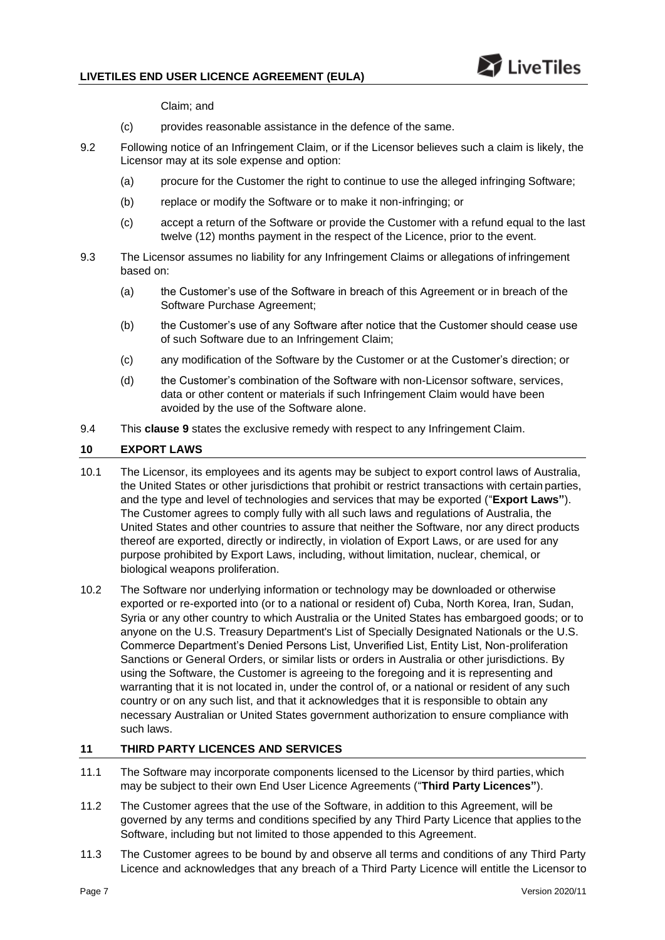

Claim; and

- (c) provides reasonable assistance in the defence of the same.
- 9.2 Following notice of an Infringement Claim, or if the Licensor believes such a claim is likely, the Licensor may at its sole expense and option:
	- (a) procure for the Customer the right to continue to use the alleged infringing Software;
	- (b) replace or modify the Software or to make it non-infringing; or
	- (c) accept a return of the Software or provide the Customer with a refund equal to the last twelve (12) months payment in the respect of the Licence, prior to the event.
- 9.3 The Licensor assumes no liability for any Infringement Claims or allegations of infringement based on:
	- (a) the Customer's use of the Software in breach of this Agreement or in breach of the Software Purchase Agreement;
	- (b) the Customer's use of any Software after notice that the Customer should cease use of such Software due to an Infringement Claim;
	- (c) any modification of the Software by the Customer or at the Customer's direction; or
	- (d) the Customer's combination of the Software with non-Licensor software, services, data or other content or materials if such Infringement Claim would have been avoided by the use of the Software alone.
- 9.4 This **clause [9](#page-5-2)** states the exclusive remedy with respect to any Infringement Claim.

### <span id="page-6-0"></span>**10 EXPORT LAWS**

- 10.1 The Licensor, its employees and its agents may be subject to export control laws of Australia, the United States or other jurisdictions that prohibit or restrict transactions with certain parties, and the type and level of technologies and services that may be exported ("**Export Laws"**). The Customer agrees to comply fully with all such laws and regulations of Australia, the United States and other countries to assure that neither the Software, nor any direct products thereof are exported, directly or indirectly, in violation of Export Laws, or are used for any purpose prohibited by Export Laws, including, without limitation, nuclear, chemical, or biological weapons proliferation.
- 10.2 The Software nor underlying information or technology may be downloaded or otherwise exported or re-exported into (or to a national or resident of) Cuba, North Korea, Iran, Sudan, Syria or any other country to which Australia or the United States has embargoed goods; or to anyone on the U.S. Treasury Department's List of Specially Designated Nationals or the U.S. Commerce Department's Denied Persons List, Unverified List, Entity List, Non-proliferation Sanctions or General Orders, or similar lists or orders in Australia or other jurisdictions. By using the Software, the Customer is agreeing to the foregoing and it is representing and warranting that it is not located in, under the control of, or a national or resident of any such country or on any such list, and that it acknowledges that it is responsible to obtain any necessary Australian or United States government authorization to ensure compliance with such laws.

### <span id="page-6-1"></span>**11 THIRD PARTY LICENCES AND SERVICES**

- <span id="page-6-2"></span>11.1 The Software may incorporate components licensed to the Licensor by third parties, which may be subject to their own End User Licence Agreements ("**Third Party Licences"**).
- 11.2 The Customer agrees that the use of the Software, in addition to this Agreement, will be governed by any terms and conditions specified by any Third Party Licence that applies to the Software, including but not limited to those appended to this Agreement.
- 11.3 The Customer agrees to be bound by and observe all terms and conditions of any Third Party Licence and acknowledges that any breach of a Third Party Licence will entitle the Licensor to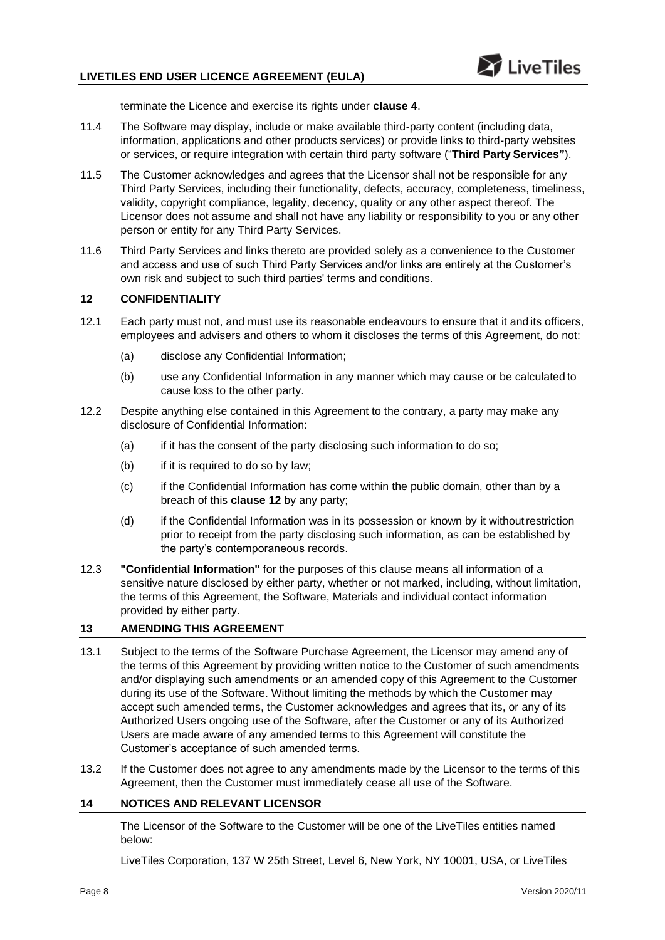terminate the Licence and exercise its rights under **clause [4](#page-3-0)**.

- 11.4 The Software may display, include or make available third-party content (including data, information, applications and other products services) or provide links to third-party websites or services, or require integration with certain third party software ("**Third Party Services"**).
- 11.5 The Customer acknowledges and agrees that the Licensor shall not be responsible for any Third Party Services, including their functionality, defects, accuracy, completeness, timeliness, validity, copyright compliance, legality, decency, quality or any other aspect thereof. The Licensor does not assume and shall not have any liability or responsibility to you or any other person or entity for any Third Party Services.
- 11.6 Third Party Services and links thereto are provided solely as a convenience to the Customer and access and use of such Third Party Services and/or links are entirely at the Customer's own risk and subject to such third parties' terms and conditions.

### <span id="page-7-0"></span>**12 CONFIDENTIALITY**

- 12.1 Each party must not, and must use its reasonable endeavours to ensure that it and its officers, employees and advisers and others to whom it discloses the terms of this Agreement, do not:
	- (a) disclose any Confidential Information;
	- (b) use any Confidential Information in any manner which may cause or be calculated to cause loss to the other party.
- 12.2 Despite anything else contained in this Agreement to the contrary, a party may make any disclosure of Confidential Information:
	- (a) if it has the consent of the party disclosing such information to do so;
	- (b) if it is required to do so by law;
	- (c) if the Confidential Information has come within the public domain, other than by a breach of this **clause [12](#page-7-0)** by any party;
	- (d) if the Confidential Information was in its possession or known by it withoutrestriction prior to receipt from the party disclosing such information, as can be established by the party's contemporaneous records.
- 12.3 **"Confidential Information"** for the purposes of this clause means all information of a sensitive nature disclosed by either party, whether or not marked, including, without limitation, the terms of this Agreement, the Software, Materials and individual contact information provided by either party.

### **13 AMENDING THIS AGREEMENT**

- 13.1 Subject to the terms of the Software Purchase Agreement, the Licensor may amend any of the terms of this Agreement by providing written notice to the Customer of such amendments and/or displaying such amendments or an amended copy of this Agreement to the Customer during its use of the Software. Without limiting the methods by which the Customer may accept such amended terms, the Customer acknowledges and agrees that its, or any of its Authorized Users ongoing use of the Software, after the Customer or any of its Authorized Users are made aware of any amended terms to this Agreement will constitute the Customer's acceptance of such amended terms.
- 13.2 If the Customer does not agree to any amendments made by the Licensor to the terms of this Agreement, then the Customer must immediately cease all use of the Software.

# **14 NOTICES AND RELEVANT LICENSOR**

The Licensor of the Software to the Customer will be one of the LiveTiles entities named below:

LiveTiles Corporation, 137 W 25th Street, Level 6, New York, NY 10001, USA, or LiveTiles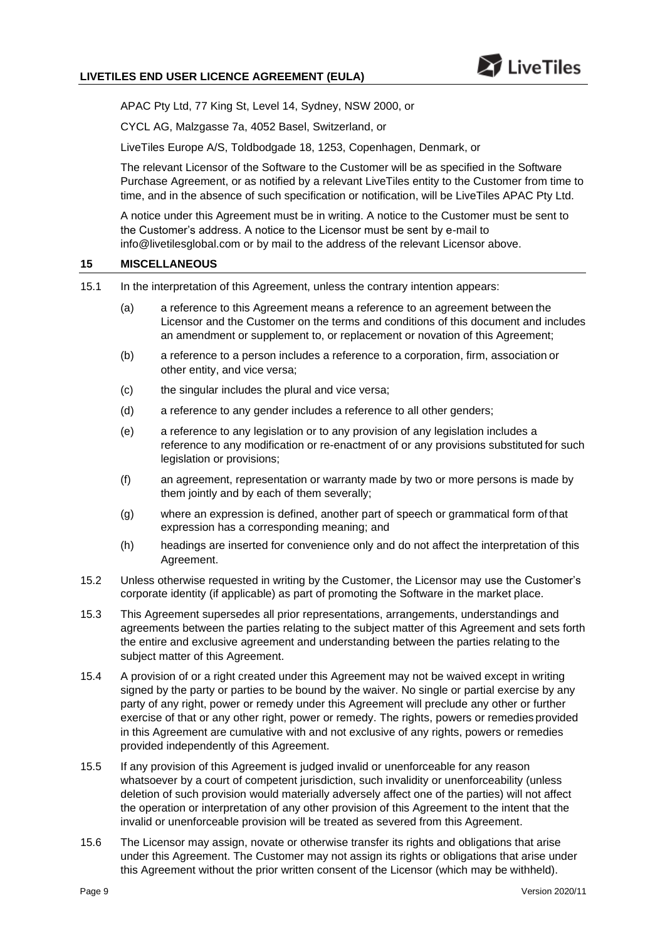

APAC Pty Ltd, 77 King St, Level 14, Sydney, NSW 2000, or

CYCL AG, Malzgasse 7a, 4052 Basel, Switzerland, or

LiveTiles Europe A/S, Toldbodgade 18, 1253, Copenhagen, Denmark, or

The relevant Licensor of the Software to the Customer will be as specified in the Software Purchase Agreement, or as notified by a relevant LiveTiles entity to the Customer from time to time, and in the absence of such specification or notification, will be LiveTiles APAC Pty Ltd.

A notice under this Agreement must be in writing. A notice to the Customer must be sent to the Customer's address. A notice to the Licensor must be sent by e-mail to [info@livetilesglobal.com](mailto:info@livetilesglobal.com) or by mail to the address of the relevant Licensor above.

### <span id="page-8-0"></span>**15 MISCELLANEOUS**

- 15.1 In the interpretation of this Agreement, unless the contrary intention appears:
	- (a) a reference to this Agreement means a reference to an agreement between the Licensor and the Customer on the terms and conditions of this document and includes an amendment or supplement to, or replacement or novation of this Agreement;
	- (b) a reference to a person includes a reference to a corporation, firm, association or other entity, and vice versa;
	- (c) the singular includes the plural and vice versa;
	- (d) a reference to any gender includes a reference to all other genders;
	- (e) a reference to any legislation or to any provision of any legislation includes a reference to any modification or re-enactment of or any provisions substituted for such legislation or provisions;
	- (f) an agreement, representation or warranty made by two or more persons is made by them jointly and by each of them severally;
	- (g) where an expression is defined, another part of speech or grammatical form of that expression has a corresponding meaning; and
	- (h) headings are inserted for convenience only and do not affect the interpretation of this Agreement.
- 15.2 Unless otherwise requested in writing by the Customer, the Licensor may use the Customer's corporate identity (if applicable) as part of promoting the Software in the market place.
- 15.3 This Agreement supersedes all prior representations, arrangements, understandings and agreements between the parties relating to the subject matter of this Agreement and sets forth the entire and exclusive agreement and understanding between the parties relating to the subject matter of this Agreement.
- 15.4 A provision of or a right created under this Agreement may not be waived except in writing signed by the party or parties to be bound by the waiver. No single or partial exercise by any party of any right, power or remedy under this Agreement will preclude any other or further exercise of that or any other right, power or remedy. The rights, powers or remedies provided in this Agreement are cumulative with and not exclusive of any rights, powers or remedies provided independently of this Agreement.
- 15.5 If any provision of this Agreement is judged invalid or unenforceable for any reason whatsoever by a court of competent jurisdiction, such invalidity or unenforceability (unless deletion of such provision would materially adversely affect one of the parties) will not affect the operation or interpretation of any other provision of this Agreement to the intent that the invalid or unenforceable provision will be treated as severed from this Agreement.
- 15.6 The Licensor may assign, novate or otherwise transfer its rights and obligations that arise under this Agreement. The Customer may not assign its rights or obligations that arise under this Agreement without the prior written consent of the Licensor (which may be withheld).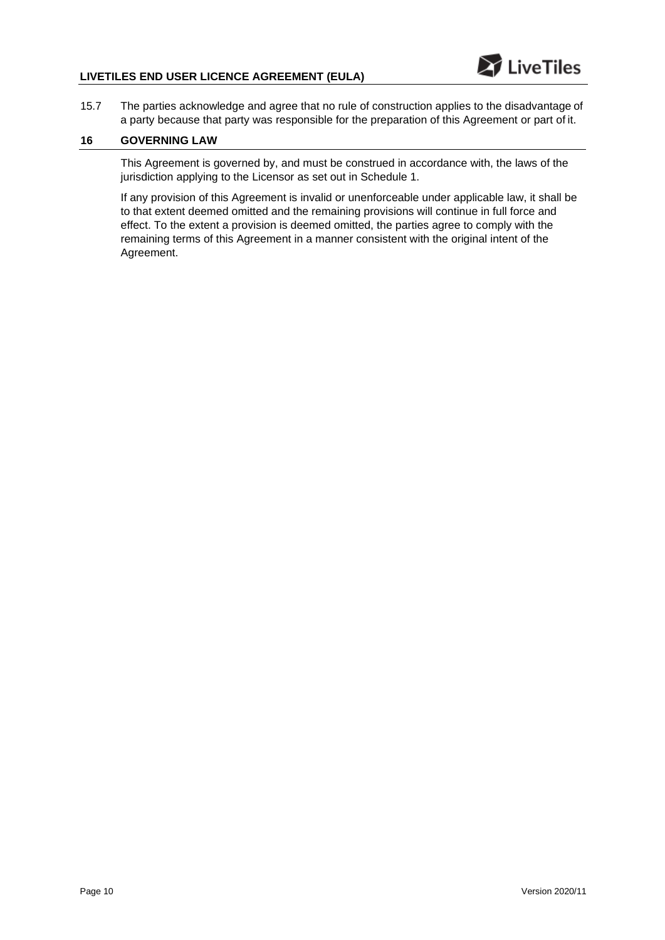# **LIVETILES END USER LICENCE AGREEMENT (EULA)**

- LiveTiles
- 15.7 The parties acknowledge and agree that no rule of construction applies to the disadvantage of a party because that party was responsible for the preparation of this Agreement or part of it.

# **16 GOVERNING LAW**

This Agreement is governed by, and must be construed in accordance with, the laws of the jurisdiction applying to the Licensor as set out in Schedule 1.

If any provision of this Agreement is invalid or unenforceable under applicable law, it shall be to that extent deemed omitted and the remaining provisions will continue in full force and effect. To the extent a provision is deemed omitted, the parties agree to comply with the remaining terms of this Agreement in a manner consistent with the original intent of the Agreement.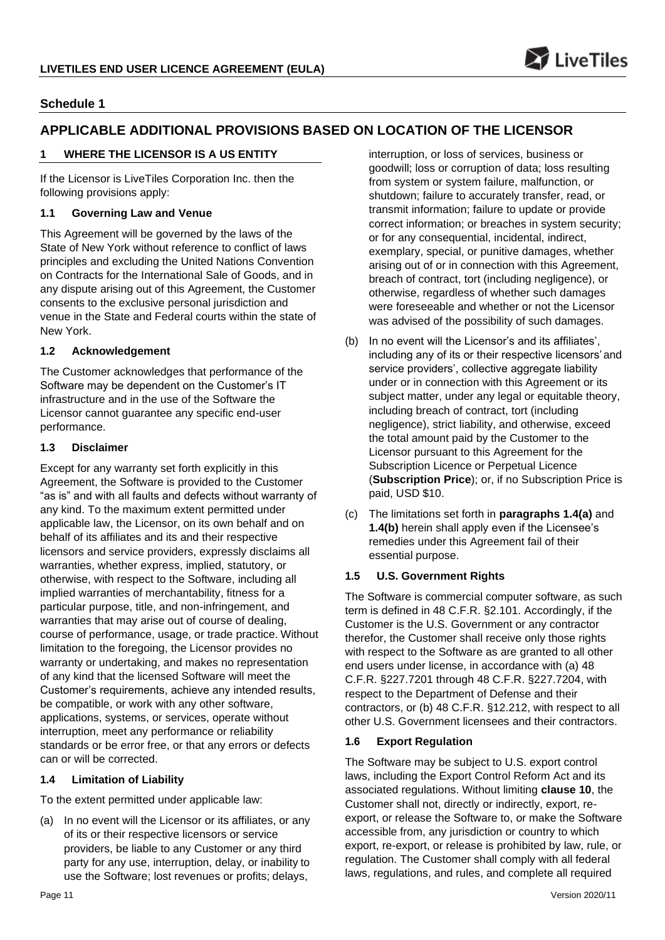

# **Schedule 1**

# **APPLICABLE ADDITIONAL PROVISIONS BASED ON LOCATION OF THE LICENSOR**

# **1 WHERE THE LICENSOR IS A US ENTITY**

If the Licensor is LiveTiles Corporation Inc. then the following provisions apply:

# **1.1 Governing Law and Venue**

This Agreement will be governed by the laws of the State of New York without reference to conflict of laws principles and excluding the United Nations Convention on Contracts for the International Sale of Goods, and in any dispute arising out of this Agreement, the Customer consents to the exclusive personal jurisdiction and venue in the State and Federal courts within the state of New York.

# **1.2 Acknowledgement**

The Customer acknowledges that performance of the Software may be dependent on the Customer's IT infrastructure and in the use of the Software the Licensor cannot guarantee any specific end-user performance.

### **1.3 Disclaimer**

Except for any warranty set forth explicitly in this Agreement, the Software is provided to the Customer "as is" and with all faults and defects without warranty of any kind. To the maximum extent permitted under applicable law, the Licensor, on its own behalf and on behalf of its affiliates and its and their respective licensors and service providers, expressly disclaims all warranties, whether express, implied, statutory, or otherwise, with respect to the Software, including all implied warranties of merchantability, fitness for a particular purpose, title, and non-infringement, and warranties that may arise out of course of dealing, course of performance, usage, or trade practice. Without limitation to the foregoing, the Licensor provides no warranty or undertaking, and makes no representation of any kind that the licensed Software will meet the Customer's requirements, achieve any intended results, be compatible, or work with any other software, applications, systems, or services, operate without interruption, meet any performance or reliability standards or be error free, or that any errors or defects can or will be corrected.

# **1.4 Limitation of Liability**

To the extent permitted under applicable law:

<span id="page-10-0"></span>(a) In no event will the Licensor or its affiliates, or any of its or their respective licensors or service providers, be liable to any Customer or any third party for any use, interruption, delay, or inability to use the Software; lost revenues or profits; delays,

interruption, or loss of services, business or goodwill; loss or corruption of data; loss resulting from system or system failure, malfunction, or shutdown; failure to accurately transfer, read, or transmit information; failure to update or provide correct information; or breaches in system security; or for any consequential, incidental, indirect, exemplary, special, or punitive damages, whether arising out of or in connection with this Agreement, breach of contract, tort (including negligence), or otherwise, regardless of whether such damages were foreseeable and whether or not the Licensor was advised of the possibility of such damages.

- <span id="page-10-1"></span>(b) In no event will the Licensor's and its affiliates', including any of its or their respective licensors'and service providers', collective aggregate liability under or in connection with this Agreement or its subject matter, under any legal or equitable theory, including breach of contract, tort (including negligence), strict liability, and otherwise, exceed the total amount paid by the Customer to the Licensor pursuant to this Agreement for the Subscription Licence or Perpetual Licence (**Subscription Price**); or, if no Subscription Price is paid, USD \$10.
- (c) The limitations set forth in **paragraphs [1.4\(a\)](#page-10-0)** an[d](#page-10-1) **[1.4\(b\)](#page-10-1)** herein shall apply even if the Licensee's remedies under this Agreement fail of their essential purpose.

# **1.5 U.S. Government Rights**

The Software is commercial computer software, as such term is defined in 48 C.F.R. §2.101. Accordingly, if the Customer is the U.S. Government or any contractor therefor, the Customer shall receive only those rights with respect to the Software as are granted to all other end users under license, in accordance with (a) 48 C.F.R. §227.7201 through 48 C.F.R. §227.7204, with respect to the Department of Defense and their contractors, or (b) 48 C.F.R. §12.212, with respect to all other U.S. Government licensees and their contractors.

# **1.6 Export Regulation**

The Software may be subject to U.S. export control laws, including the Export Control Reform Act and its associated regulations. Without limiting **clause [10](#page-6-0)**, the Customer shall not, directly or indirectly, export, reexport, or release the Software to, or make the Software accessible from, any jurisdiction or country to which export, re-export, or release is prohibited by law, rule, or regulation. The Customer shall comply with all federal laws, regulations, and rules, and complete all required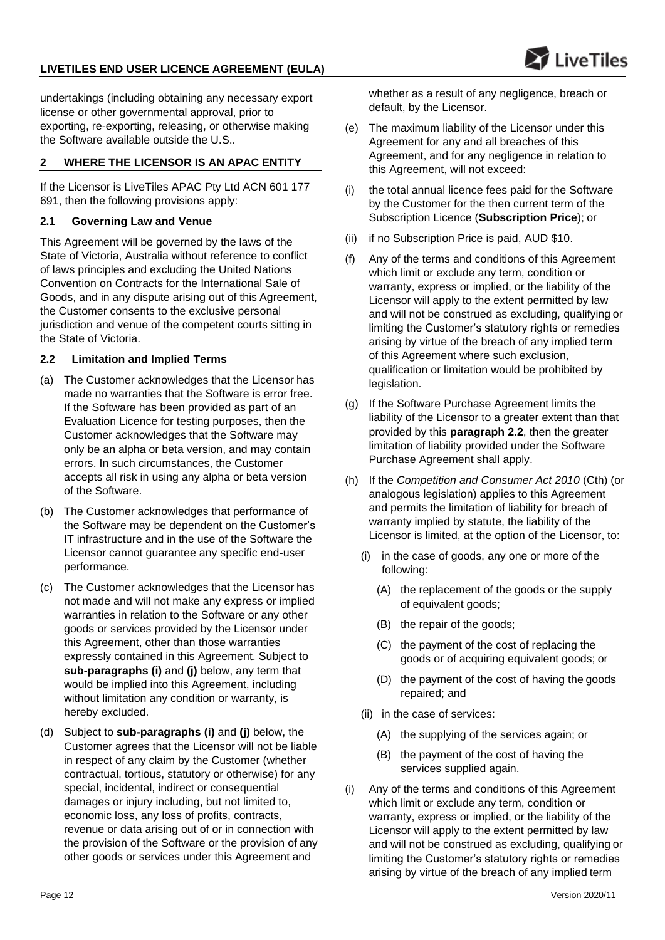undertakings (including obtaining any necessary export license or other governmental approval, prior to exporting, re-exporting, releasing, or otherwise making the Software available outside the U.S..

# **2 WHERE THE LICENSOR IS AN APAC ENTITY**

If the Licensor is LiveTiles APAC Pty Ltd ACN 601 177 691, then the following provisions apply:

# **2.1 Governing Law and Venue**

This Agreement will be governed by the laws of the State of Victoria, Australia without reference to conflict of laws principles and excluding the United Nations Convention on Contracts for the International Sale of Goods, and in any dispute arising out of this Agreement, the Customer consents to the exclusive personal jurisdiction and venue of the competent courts sitting in the State of Victoria.

# <span id="page-11-1"></span>**2.2 Limitation and Implied Terms**

- (a) The Customer acknowledges that the Licensor has made no warranties that the Software is error free. If the Software has been provided as part of an Evaluation Licence for testing purposes, then the Customer acknowledges that the Software may only be an alpha or beta version, and may contain errors. In such circumstances, the Customer accepts all risk in using any alpha or beta version of the Software.
- (b) The Customer acknowledges that performance of the Software may be dependent on the Customer's IT infrastructure and in the use of the Software the Licensor cannot guarantee any specific end-user performance.
- (c) The Customer acknowledges that the Licensor has not made and will not make any express or implied warranties in relation to the Software or any other goods or services provided by the Licensor under this Agreement, other than those warranties expressly contained in this Agreement. Subject to **sub-paragraphs [\(i\)](#page-11-0)** and **[\(j\)](#page-12-0)** below, any term that would be implied into this Agreement, including without limitation any condition or warranty, is hereby excluded.
- (d) Subject to **sub-paragraphs [\(i\)](#page-11-0)** and **[\(j\)](#page-12-0)** below, the Customer agrees that the Licensor will not be liable in respect of any claim by the Customer (whether contractual, tortious, statutory or otherwise) for any special, incidental, indirect or consequential damages or injury including, but not limited to, economic loss, any loss of profits, contracts, revenue or data arising out of or in connection with the provision of the Software or the provision of any other goods or services under this Agreement and

whether as a result of any negligence, breach or default, by the Licensor.

 $\Sigma$  LiveTiles

- (e) The maximum liability of the Licensor under this Agreement for any and all breaches of this Agreement, and for any negligence in relation to this Agreement, will not exceed:
- (i) the total annual licence fees paid for the Software by the Customer for the then current term of the Subscription Licence (**Subscription Price**); or
- (ii) if no Subscription Price is paid, AUD \$10.
- (f) Any of the terms and conditions of this Agreement which limit or exclude any term, condition or warranty, express or implied, or the liability of the Licensor will apply to the extent permitted by law and will not be construed as excluding, qualifying or limiting the Customer's statutory rights or remedies arising by virtue of the breach of any implied term of this Agreement where such exclusion, qualification or limitation would be prohibited by legislation.
- (g) If the Software Purchase Agreement limits the liability of the Licensor to a greater extent than that provided by this **paragraph [2.2](#page-11-1)**, then the greater limitation of liability provided under the Software Purchase Agreement shall apply.
- (h) If the *Competition and Consumer Act 2010* (Cth) (or analogous legislation) applies to this Agreement and permits the limitation of liability for breach of warranty implied by statute, the liability of the Licensor is limited, at the option of the Licensor, to:
	- (i) in the case of goods, any one or more of the following:
		- (A) the replacement of the goods or the supply of equivalent goods;
		- (B) the repair of the goods;
		- (C) the payment of the cost of replacing the goods or of acquiring equivalent goods; or
		- (D) the payment of the cost of having the goods repaired; and
	- (ii) in the case of services:
		- (A) the supplying of the services again; or
		- (B) the payment of the cost of having the services supplied again.
- <span id="page-11-0"></span>(i) Any of the terms and conditions of this Agreement which limit or exclude any term, condition or warranty, express or implied, or the liability of the Licensor will apply to the extent permitted by law and will not be construed as excluding, qualifying or limiting the Customer's statutory rights or remedies arising by virtue of the breach of any implied term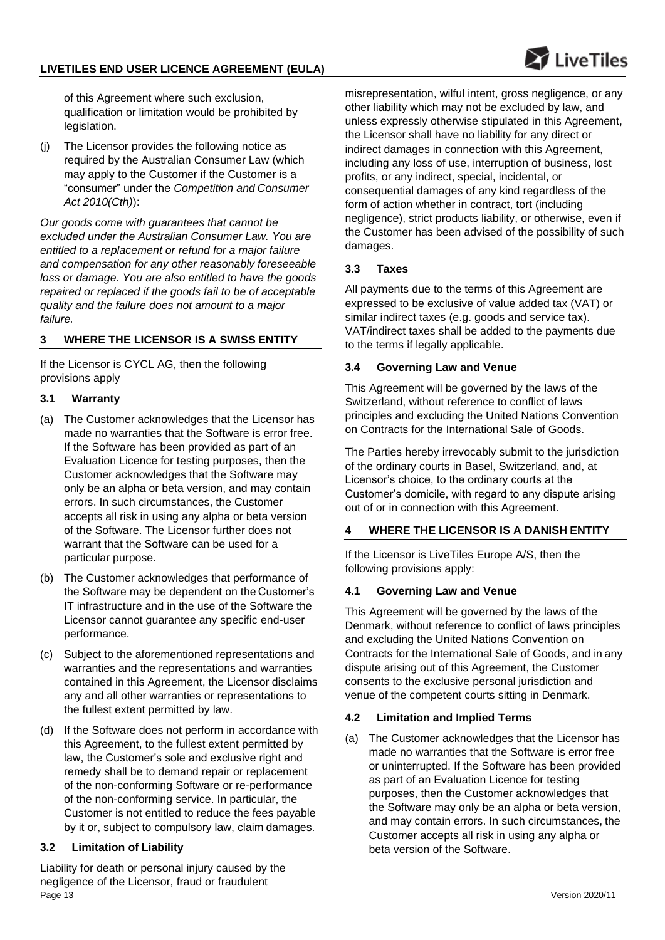of this Agreement where such exclusion, qualification or limitation would be prohibited by legislation.

<span id="page-12-0"></span>(j) The Licensor provides the following notice as required by the Australian Consumer Law (which may apply to the Customer if the Customer is a "consumer" under the *Competition and Consumer Act 2010(Cth)*):

*Our goods come with guarantees that cannot be excluded under the Australian Consumer Law. You are entitled to a replacement or refund for a major failure and compensation for any other reasonably foreseeable loss or damage. You are also entitled to have the goods repaired or replaced if the goods fail to be of acceptable quality and the failure does not amount to a major failure.*

# **3 WHERE THE LICENSOR IS A SWISS ENTITY**

If the Licensor is CYCL AG, then the following provisions apply

# **3.1 Warranty**

- (a) The Customer acknowledges that the Licensor has made no warranties that the Software is error free. If the Software has been provided as part of an Evaluation Licence for testing purposes, then the Customer acknowledges that the Software may only be an alpha or beta version, and may contain errors. In such circumstances, the Customer accepts all risk in using any alpha or beta version of the Software. The Licensor further does not warrant that the Software can be used for a particular purpose.
- (b) The Customer acknowledges that performance of the Software may be dependent on the Customer's IT infrastructure and in the use of the Software the Licensor cannot guarantee any specific end-user performance.
- (c) Subject to the aforementioned representations and warranties and the representations and warranties contained in this Agreement, the Licensor disclaims any and all other warranties or representations to the fullest extent permitted by law.
- (d) If the Software does not perform in accordance with this Agreement, to the fullest extent permitted by law, the Customer's sole and exclusive right and remedy shall be to demand repair or replacement of the non-conforming Software or re-performance of the non-conforming service. In particular, the Customer is not entitled to reduce the fees payable by it or, subject to compulsory law, claim damages.

# **3.2 Limitation of Liability**

Page 13 Version 2020/11 Liability for death or personal injury caused by the negligence of the Licensor, fraud or fraudulent

misrepresentation, wilful intent, gross negligence, or any other liability which may not be excluded by law, and unless expressly otherwise stipulated in this Agreement, the Licensor shall have no liability for any direct or indirect damages in connection with this Agreement, including any loss of use, interruption of business, lost profits, or any indirect, special, incidental, or consequential damages of any kind regardless of the form of action whether in contract, tort (including negligence), strict products liability, or otherwise, even if the Customer has been advised of the possibility of such damages.

### **3.3 Taxes**

All payments due to the terms of this Agreement are expressed to be exclusive of value added tax (VAT) or similar indirect taxes (e.g. goods and service tax). VAT/indirect taxes shall be added to the payments due to the terms if legally applicable.

# **3.4 Governing Law and Venue**

This Agreement will be governed by the laws of the Switzerland, without reference to conflict of laws principles and excluding the United Nations Convention on Contracts for the International Sale of Goods.

The Parties hereby irrevocably submit to the jurisdiction of the ordinary courts in Basel, Switzerland, and, at Licensor's choice, to the ordinary courts at the Customer's domicile, with regard to any dispute arising out of or in connection with this Agreement.

# **4 WHERE THE LICENSOR IS A DANISH ENTITY**

If the Licensor is LiveTiles Europe A/S, then the following provisions apply:

# **4.1 Governing Law and Venue**

This Agreement will be governed by the laws of the Denmark, without reference to conflict of laws principles and excluding the United Nations Convention on Contracts for the International Sale of Goods, and in any dispute arising out of this Agreement, the Customer consents to the exclusive personal jurisdiction and venue of the competent courts sitting in Denmark.

# <span id="page-12-1"></span>**4.2 Limitation and Implied Terms**

(a) The Customer acknowledges that the Licensor has made no warranties that the Software is error free or uninterrupted. If the Software has been provided as part of an Evaluation Licence for testing purposes, then the Customer acknowledges that the Software may only be an alpha or beta version, and may contain errors. In such circumstances, the Customer accepts all risk in using any alpha or beta version of the Software.